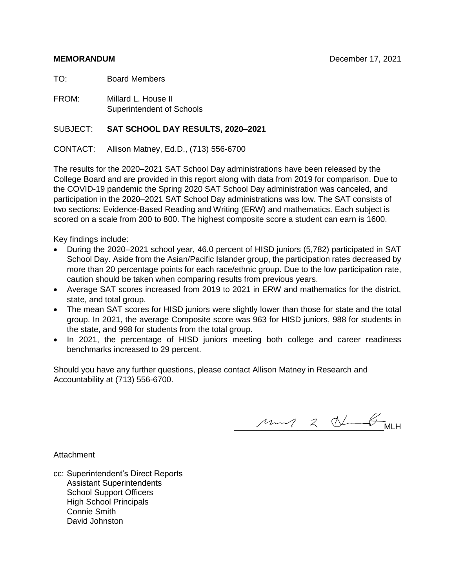TO: Board Members

FROM: Millard L. House II Superintendent of Schools

### SUBJECT: **SAT SCHOOL DAY RESULTS, 2020–2021**

CONTACT: Allison Matney, Ed.D., (713) 556-6700

The results for the 2020–2021 SAT School Day administrations have been released by the College Board and are provided in this report along with data from 2019 for comparison. Due to the COVID-19 pandemic the Spring 2020 SAT School Day administration was canceled, and participation in the 2020–2021 SAT School Day administrations was low. The SAT consists of two sections: Evidence-Based Reading and Writing (ERW) and mathematics. Each subject is scored on a scale from 200 to 800. The highest composite score a student can earn is 1600.

Key findings include:

- During the 2020–2021 school year, 46.0 percent of HISD juniors (5,782) participated in SAT School Day. Aside from the Asian/Pacific Islander group, the participation rates decreased by more than 20 percentage points for each race/ethnic group. Due to the low participation rate, caution should be taken when comparing results from previous years.
- Average SAT scores increased from 2019 to 2021 in ERW and mathematics for the district, state, and total group.
- The mean SAT scores for HISD juniors were slightly lower than those for state and the total group. In 2021, the average Composite score was 963 for HISD juniors, 988 for students in the state, and 998 for students from the total group.
- In 2021, the percentage of HISD juniors meeting both college and career readiness benchmarks increased to 29 percent.

Should you have any further questions, please contact Allison Matney in Research and Accountability at (713) 556-6700.

\_\_\_\_\_\_\_\_\_\_\_\_\_\_\_\_\_\_\_\_\_\_\_\_\_\_\_\_\_\_\_\_\_MLH

Attachment

cc: Superintendent's Direct Reports Assistant Superintendents School Support Officers High School Principals Connie Smith David Johnston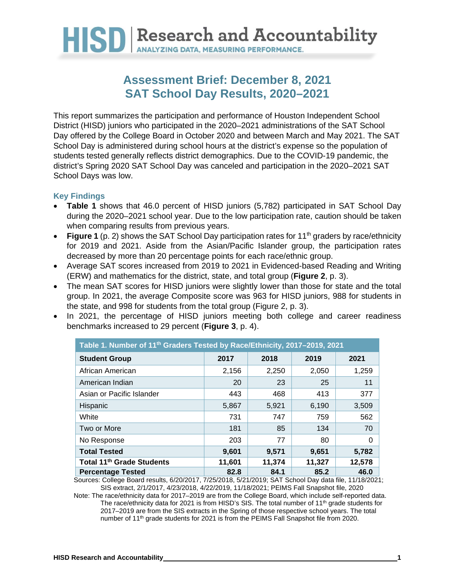

### **Assessment Brief: December 8, 2021 SAT School Day Results, 2020–2021**

This report summarizes the participation and performance of Houston Independent School District (HISD) juniors who participated in the 2020–2021 administrations of the SAT School Day offered by the College Board in October 2020 and between March and May 2021. The SAT School Day is administered during school hours at the district's expense so the population of students tested generally reflects district demographics. Due to the COVID-19 pandemic, the district's Spring 2020 SAT School Day was canceled and participation in the 2020–2021 SAT School Days was low.

### **Key Findings**

- **Table 1** shows that 46.0 percent of HISD juniors (5,782) participated in SAT School Day during the 2020–2021 school year. Due to the low participation rate, caution should be taken when comparing results from previous years.
- **Figure 1** (p. 2) shows the SAT School Day participation rates for 11<sup>th</sup> graders by race/ethnicity for 2019 and 2021. Aside from the Asian/Pacific Islander group, the participation rates decreased by more than 20 percentage points for each race/ethnic group.
- Average SAT scores increased from 2019 to 2021 in Evidenced-based Reading and Writing (ERW) and mathematics for the district, state, and total group (**Figure 2**, p. 3).
- The mean SAT scores for HISD juniors were slightly lower than those for state and the total group. In 2021, the average Composite score was 963 for HISD juniors, 988 for students in the state, and 998 for students from the total group (Figure 2, p. 3).
- In 2021, the percentage of HISD juniors meeting both college and career readiness benchmarks increased to 29 percent (**Figure 3**, p. 4).

| Table 1. Number of 11 <sup>th</sup> Graders Tested by Race/Ethnicity, 2017-2019, 2021 |        |        |        |        |  |  |  |  |  |  |
|---------------------------------------------------------------------------------------|--------|--------|--------|--------|--|--|--|--|--|--|
| <b>Student Group</b>                                                                  | 2017   | 2018   | 2019   | 2021   |  |  |  |  |  |  |
| African American                                                                      | 2,156  | 2,250  | 2,050  | 1,259  |  |  |  |  |  |  |
| American Indian                                                                       | 20     | 23     | 25     | 11     |  |  |  |  |  |  |
| Asian or Pacific Islander                                                             | 443    | 468    | 413    | 377    |  |  |  |  |  |  |
| Hispanic                                                                              | 5,867  | 5.921  | 6,190  | 3,509  |  |  |  |  |  |  |
| White                                                                                 | 731    | 747    | 759    | 562    |  |  |  |  |  |  |
| Two or More                                                                           | 181    | 85     | 134    | 70     |  |  |  |  |  |  |
| No Response                                                                           | 203    | 77     | 80     | 0      |  |  |  |  |  |  |
| <b>Total Tested</b>                                                                   | 9,601  | 9,571  | 9,651  | 5,782  |  |  |  |  |  |  |
| Total 11 <sup>th</sup> Grade Students                                                 | 11,601 | 11,374 | 11,327 | 12,578 |  |  |  |  |  |  |
| <b>Percentage Tested</b>                                                              | 82.8   | 84.1   | 85.2   | 46.0   |  |  |  |  |  |  |

Sources: College Board results, 6/20/2017, 7/25/2018, 5/21/2019; SAT School Day data file, 11/18/2021; SIS extract, 2/1/2017, 4/23/2018, 4/22/2019, 11/18/2021; PEIMS Fall Snapshot file, 2020

Note: The race/ethnicity data for 2017–2019 are from the College Board, which include self-reported data. The race/ethnicity data for 2021 is from HISD's SIS. The total number of 11<sup>th</sup> grade students for 2017–2019 are from the SIS extracts in the Spring of those respective school years. The total number of 11<sup>th</sup> grade students for 2021 is from the PEIMS Fall Snapshot file from 2020.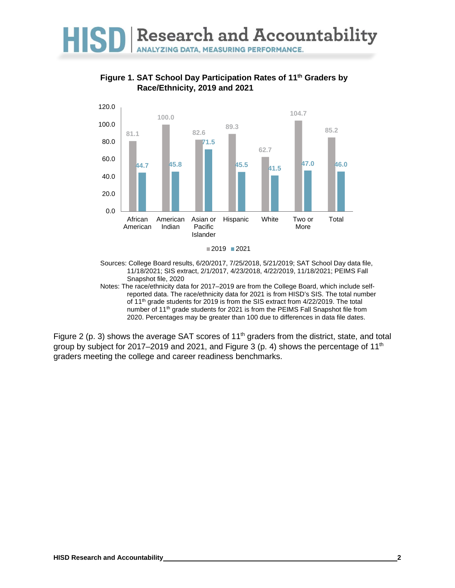

**Figure 1. SAT School Day Participation Rates of 11th Graders by Race/Ethnicity, 2019 and 2021**



Sources: College Board results, 6/20/2017, 7/25/2018, 5/21/2019; SAT School Day data file, 11/18/2021; SIS extract, 2/1/2017, 4/23/2018, 4/22/2019, 11/18/2021; PEIMS Fall Snapshot file, 2020

Notes: The race/ethnicity data for 2017–2019 are from the College Board, which include selfreported data. The race/ethnicity data for 2021 is from HISD's SIS. The total number of 11<sup>th</sup> grade students for 2019 is from the SIS extract from 4/22/2019. The total number of 11<sup>th</sup> grade students for 2021 is from the PEIMS Fall Snapshot file from 2020. Percentages may be greater than 100 due to differences in data file dates.

Figure 2 (p. 3) shows the average SAT scores of 11<sup>th</sup> graders from the district, state, and total group by subject for 2017–2019 and 2021, and Figure 3 (p. 4) shows the percentage of  $11<sup>th</sup>$ graders meeting the college and career readiness benchmarks.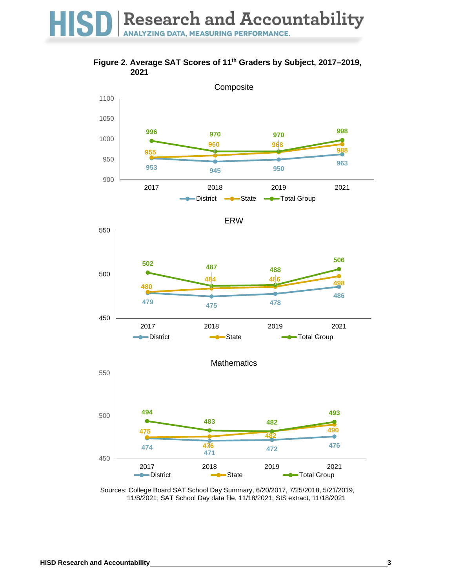## HISD Research and Accountability

**Figure 2. Average SAT Scores of 11th Graders by Subject, 2017–2019,**  



Sources: College Board SAT School Day Summary, 6/20/2017, 7/25/2018, 5/21/2019, 11/8/2021; SAT School Day data file, 11/18/2021; SIS extract, 11/18/2021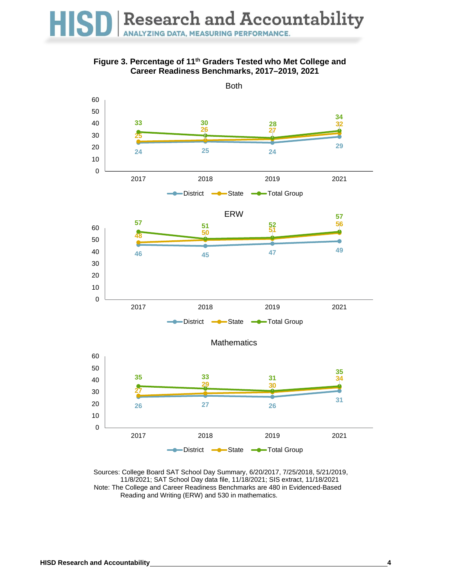### **Figure 3. Percentage of 11th Graders Tested who Met College and Career Readiness Benchmarks, 2017–2019, 2021**



Sources: College Board SAT School Day Summary, 6/20/2017, 7/25/2018, 5/21/2019, 11/8/2021; SAT School Day data file, 11/18/2021; SIS extract, 11/18/2021 Note: The College and Career Readiness Benchmarks are 480 in Evidenced-Based Reading and Writing (ERW) and 530 in mathematics.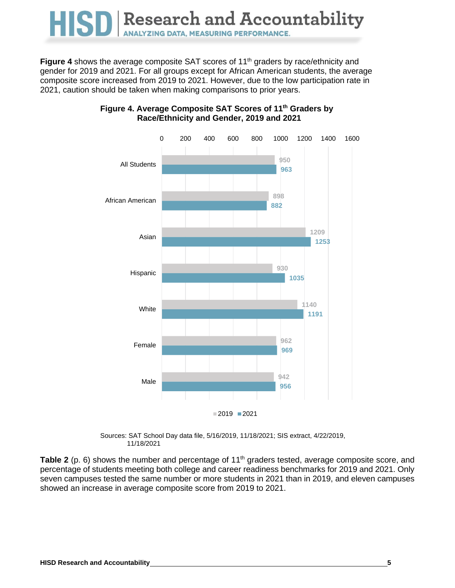### Research and Accountability **HISI ANALYZING DATA, MEASURING PERFORMANCE.**

**Figure 4** shows the average composite SAT scores of 11<sup>th</sup> graders by race/ethnicity and gender for 2019 and 2021. For all groups except for African American students, the average composite score increased from 2019 to 2021. However, due to the low participation rate in 2021, caution should be taken when making comparisons to prior years.



### **Figure 4. Average Composite SAT Scores of 11th Graders by Race/Ethnicity and Gender, 2019 and 2021**

Sources: SAT School Day data file, 5/16/2019, 11/18/2021; SIS extract, 4/22/2019, 11/18/2021

**Table 2** (p. 6) shows the number and percentage of 11<sup>th</sup> graders tested, average composite score, and percentage of students meeting both college and career readiness benchmarks for 2019 and 2021. Only seven campuses tested the same number or more students in 2021 than in 2019, and eleven campuses showed an increase in average composite score from 2019 to 2021.